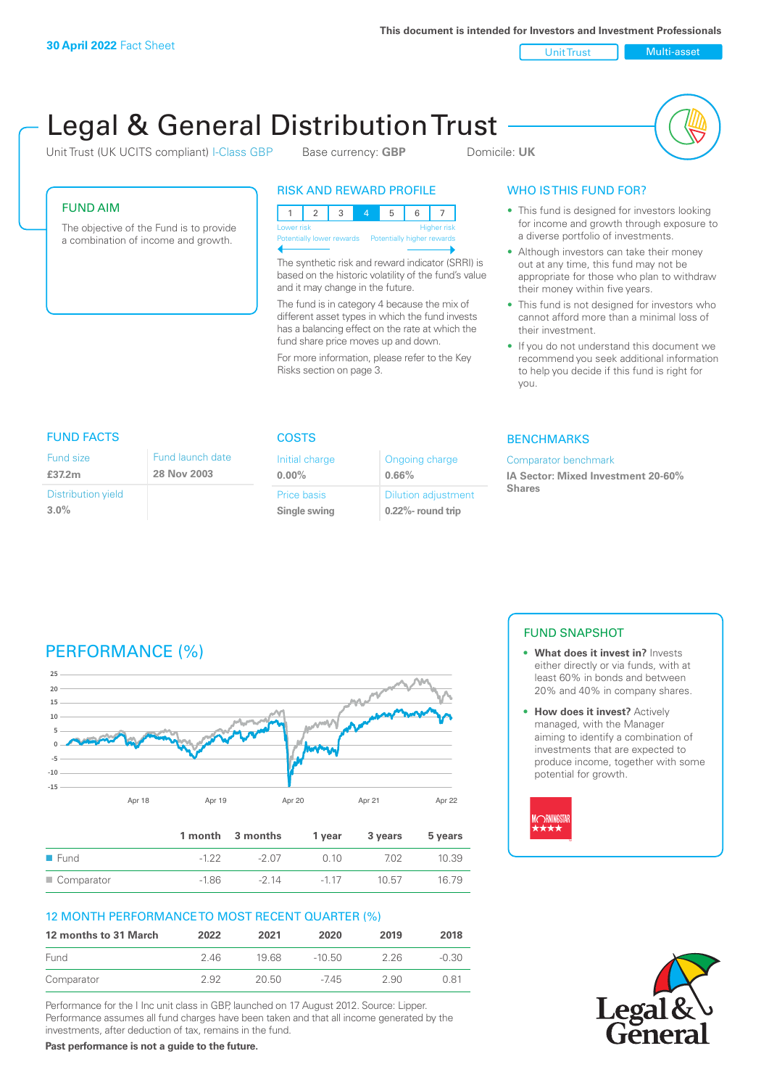**This document is intended for Investors and Investment Professionals**

Unit Trust Multi-asset

# Legal & General Distribution Trust

Unit Trust (UK UCITS compliant) I-Class GBP Base currency: **GBP** Domicile: UK

# FUND AIM

Fund size **£37.2m**

**3.0%**

Distribution yield

The objective of the Fund is to provide a combination of income and growth.

FUND FACTS COSTS

Fund launch date **28 Nov 2003**

# RISK AND REWARD PROFILE

123 4 5 6 7 Higher risk Potentially higher rewards

The synthetic risk and reward indicator (SRRI) is based on the historic volatility of the fund's value and it may change in the future.

The fund is in category 4 because the mix of different asset types in which the fund invests has a balancing effect on the rate at which the fund share price moves up and down.

For more information, please refer to the Key Risks section on page 3.

Ongoing charge

Dilution adjustment **0.22%- round trip**

**0.66%**

Initial charge **0.00%**

Price basis **Single swing**

# WHO IS THIS FUND FOR?

- This fund is designed for investors looking for income and growth through exposure to a diverse portfolio of investments.
- Although investors can take their money out at any time, this fund may not be appropriate for those who plan to withdraw their money within five years.
- This fund is not designed for investors who cannot afford more than a minimal loss of their investment.
- If you do not understand this document we recommend you seek additional information to help you decide if this fund is right for you.

# **BENCHMARKS**

#### Comparator benchmark

**IA Sector: Mixed Investment 20-60% Shares**

# PERFORMANCE (%)



|                     |         | 1 month 3 months | 1 vear | 3 vears | 5 years |
|---------------------|---------|------------------|--------|---------|---------|
| $\blacksquare$ Fund | $-122$  | -2.07            | O 10   | 702     | 10.39   |
| ■ Comparator        | $-1.86$ | $-214$           | $-117$ | 10.57   | 16 79   |

# 12 MONTH PERFORMANCE TO MOST RECENT QUARTER (%)

| 12 months to 31 March | 2022 | 2021  | 2020   | 2019 | 2018    |
|-----------------------|------|-------|--------|------|---------|
| Fund                  | 246  | 1968  | -10.50 | 226  | $-0.30$ |
| Comparator            | 2.92 | 20.50 | $-745$ | 2.90 | O 81    |

Performance for the I Inc unit class in GBP, launched on 17 August 2012. Source: Lipper. Performance assumes all fund charges have been taken and that all income generated by the investments, after deduction of tax, remains in the fund.

**Past performance is not a guide to the future.**

# FUND SNAPSHOT

- **• What does it invest in?** Invests either directly or via funds, with at least 60% in bonds and between 20% and 40% in company shares.
- **• How does it invest?** Actively managed, with the Manager aiming to identify a combination of investments that are expected to produce income, together with some potential for growth.



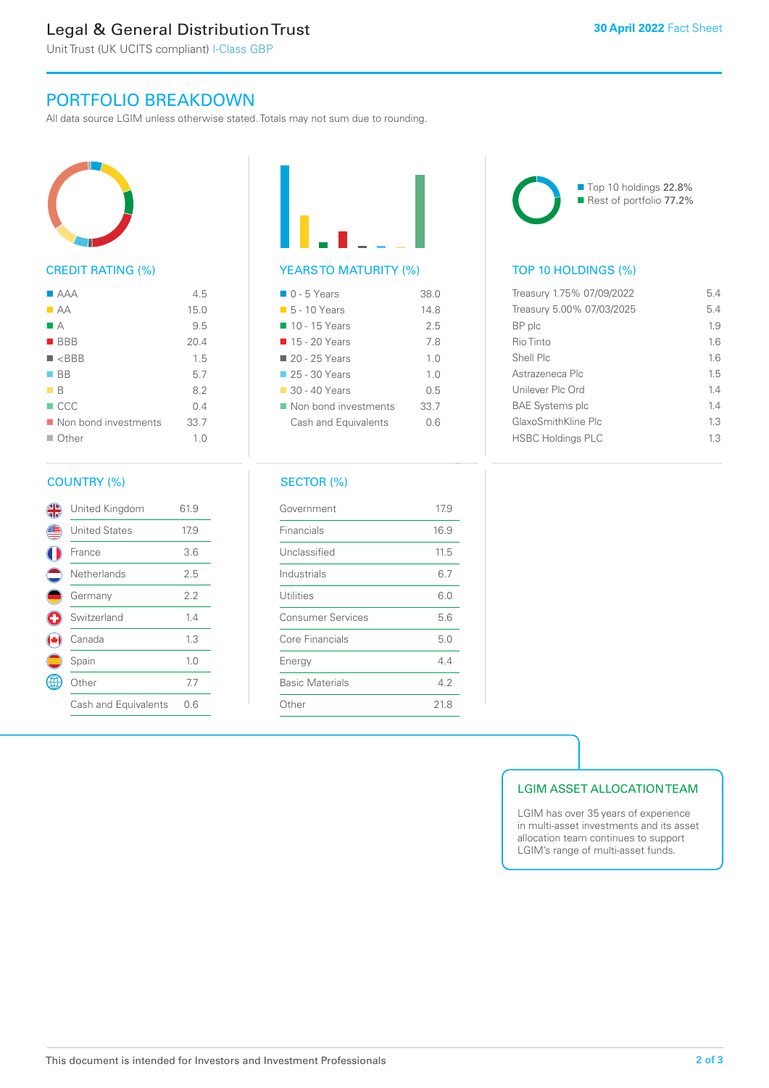# Legal & General Distribution Trust

Unit Trust (UK UCITS compliant) I-Class GBP

# PORTFOLIO BREAKDOWN

All data source LGIM unless otherwise stated. Totals may not sum due to rounding.



# CREDIT RATING (%)

| $\blacksquare$ $\triangle$ $\triangle$ $\triangle$ | 4.5  |
|----------------------------------------------------|------|
| $\blacksquare$ AA                                  | 15.0 |
| M A                                                | 9.5  |
| $\blacksquare$ BBB                                 | 20.4 |
| $\blacksquare$ <bbb< td=""><td>1.5</td></bbb<>     | 1.5  |
| $\blacksquare$ BB                                  | 5.7  |
| $\blacksquare$ B                                   | 8.2  |
| $\Box$ CCC                                         | 0.4  |
| Non bond investments                               | 33.7 |
| $\Box$ Other                                       | 1.0  |

# COUNTRY (%)

|                          | United Kingdom       | 61.9 |  |
|--------------------------|----------------------|------|--|
|                          | <b>United States</b> | 17.9 |  |
|                          | France               | 3.6  |  |
| $\overline{\phantom{a}}$ | Netherlands          | 2.5  |  |
|                          | Germany              | 2.2  |  |
| Ø                        | Switzerland          | 1.4  |  |
|                          | Canada               | 1.3  |  |
|                          | Spain                | 1.0  |  |
|                          | Other                | 7.7  |  |
|                          | Cash and Equivalents | 0.6  |  |
|                          |                      |      |  |

# YEARS TO MATURITY (%)

| $\Box$ 0 - 5 Years           | 38 O           |
|------------------------------|----------------|
| $\blacksquare$ 5 - 10 Years  | 148            |
| $\blacksquare$ 10 - 15 Years | 25             |
| ■ 15 - 20 Years              | 78             |
| 20 - 25 Years                | 1.0            |
| $\Box$ 25 - 30 Years         | 1 <sub>0</sub> |
| $\Box$ 30 - 40 Years         | 0 5            |
| Non bond investments         | 33.7           |
| Cash and Equivalents         | 0 6            |
|                              |                |

# SECTOR (%)

| Government               | 17.9 |
|--------------------------|------|
| Financials               | 16.9 |
| Unclassified             | 11.5 |
| Industrials              | 6.7  |
| Utilities                | 6.0  |
| <b>Consumer Services</b> | 5.6  |
| Core Financials          | 5.0  |
| Energy                   | 4.4  |
| <b>Basic Materials</b>   | 42   |
| Other                    | 21.8 |
|                          |      |



■ Top 10 holdings 22.8% Rest of portfolio 77.2%

# TOP 10 HOLDINGS (%)

| Treasury 1.75% 07/09/2022<br>5.4 |     |
|----------------------------------|-----|
| Treasury 5.00% 07/03/2025<br>5.4 |     |
| BP plc                           | 1.9 |
| Rio Tinto                        | 1.6 |
| Shell Plc                        | 16  |
| Astrazeneca Plc                  | 15  |
| Unilever Plc Ord                 | 14  |
| <b>BAE Systems plc</b>           | 14  |
| GlaxoSmithKline Plc              | 1.3 |
| <b>HSBC Holdings PLC</b>         | 1.3 |

# LGIM ASSET ALLOCATION TEAM

LGIM has over 35 years of experience in multi-asset investments and its asset allocation team continues to support LGIM's range of multi-asset funds.